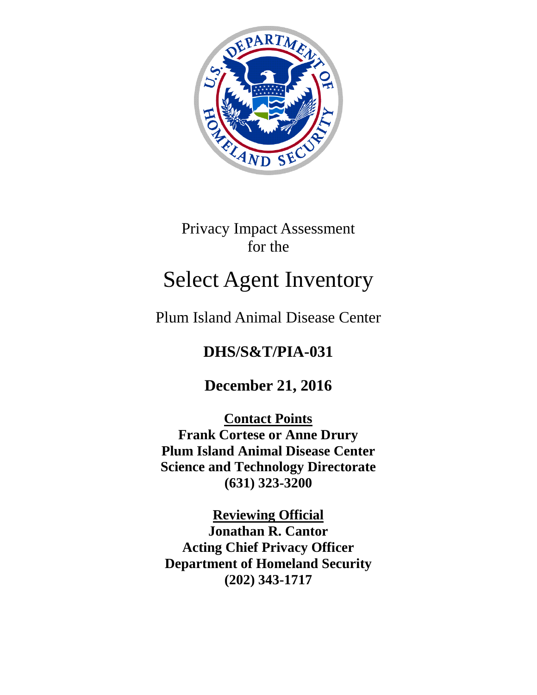

Privacy Impact Assessment for the

# Select Agent Inventory

Plum Island Animal Disease Center

# **DHS/S&T/PIA-031**

# **December 21, 2016**

**Contact Points Frank Cortese or Anne Drury Plum Island Animal Disease Center Science and Technology Directorate (631) 323-3200**

**Reviewing Official Jonathan R. Cantor Acting Chief Privacy Officer Department of Homeland Security (202) 343-1717**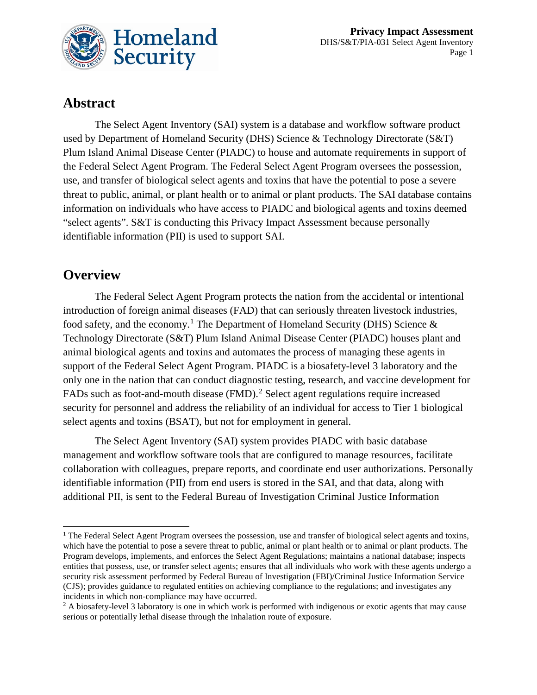

# **Abstract**

The Select Agent Inventory (SAI) system is a database and workflow software product used by Department of Homeland Security (DHS) Science & Technology Directorate (S&T) Plum Island Animal Disease Center (PIADC) to house and automate requirements in support of the Federal Select Agent Program. The Federal Select Agent Program oversees the possession, use, and transfer of biological select agents and toxins that have the potential to pose a severe threat to public, animal, or plant health or to animal or plant products. The SAI database contains information on individuals who have access to PIADC and biological agents and toxins deemed "select agents". S&T is conducting this Privacy Impact Assessment because personally identifiable information (PII) is used to support SAI.

## **Overview**

The Federal Select Agent Program protects the nation from the accidental or intentional introduction of foreign animal diseases (FAD) that can seriously threaten livestock industries, food safety, and the economy.<sup>[1](#page-1-0)</sup> The Department of Homeland Security (DHS) Science  $\&$ Technology Directorate (S&T) Plum Island Animal Disease Center (PIADC) houses plant and animal biological agents and toxins and automates the process of managing these agents in support of the Federal Select Agent Program. PIADC is a biosafety-level 3 laboratory and the only one in the nation that can conduct diagnostic testing, research, and vaccine development for FADs such as foot-and-mouth disease (FMD).<sup>[2](#page-1-1)</sup> Select agent regulations require increased security for personnel and address the reliability of an individual for access to Tier 1 biological select agents and toxins (BSAT), but not for employment in general.

The Select Agent Inventory (SAI) system provides PIADC with basic database management and workflow software tools that are configured to manage resources, facilitate collaboration with colleagues, prepare reports, and coordinate end user authorizations. Personally identifiable information (PII) from end users is stored in the SAI, and that data, along with additional PII, is sent to the Federal Bureau of Investigation Criminal Justice Information

<span id="page-1-0"></span><sup>&</sup>lt;sup>1</sup> The Federal Select Agent Program oversees the possession, use and transfer of biological select agents and toxins, which have the potential to pose a severe threat to public, animal or plant health or to animal or plant products. The Program develops, implements, and enforces the Select Agent Regulations; maintains a national database; inspects entities that possess, use, or transfer select agents; ensures that all individuals who work with these agents undergo a security risk assessment performed by Federal Bureau of Investigation (FBI)/Criminal Justice Information Service (CJS); provides guidance to regulated entities on achieving compliance to the regulations; and investigates any incidents in which non-compliance may have occurred.

<span id="page-1-1"></span><sup>&</sup>lt;sup>2</sup> A biosafety-level 3 laboratory is one in which work is performed with indigenous or exotic agents that may cause serious or potentially lethal disease through the inhalation route of exposure.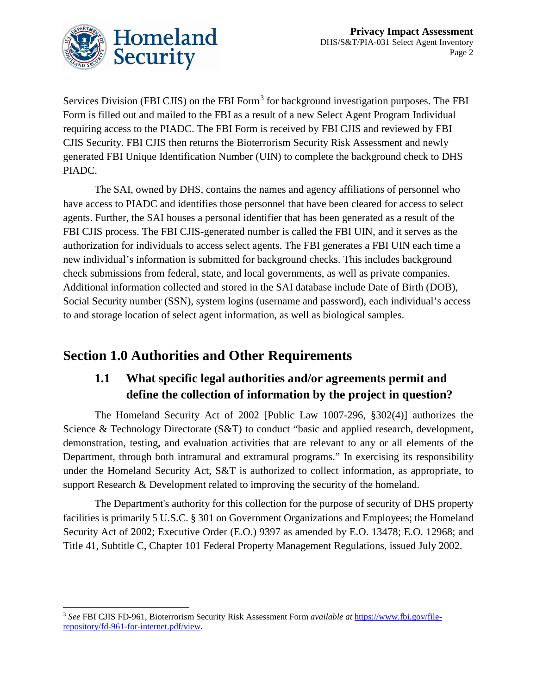

Services Division (FBI CJIS) on the FBI Form<sup>[3](#page-2-0)</sup> for background investigation purposes. The FBI Form is filled out and mailed to the FBI as a result of a new Select Agent Program Individual requiring access to the PIADC. The FBI Form is received by FBI CJIS and reviewed by FBI CJIS Security. FBI CJIS then returns the Bioterrorism Security Risk Assessment and newly generated FBI Unique Identification Number (UIN) to complete the background check to DHS PIADC.

The SAI, owned by DHS, contains the names and agency affiliations of personnel who have access to PIADC and identifies those personnel that have been cleared for access to select agents. Further, the SAI houses a personal identifier that has been generated as a result of the FBI CJIS process. The FBI CJIS-generated number is called the FBI UIN, and it serves as the authorization for individuals to access select agents. The FBI generates a FBI UIN each time a new individual's information is submitted for background checks. This includes background check submissions from federal, state, and local governments, as well as private companies. Additional information collected and stored in the SAI database include Date of Birth (DOB), Social Security number (SSN), system logins (username and password), each individual's access to and storage location of select agent information, as well as biological samples.

# **Section 1.0 Authorities and Other Requirements**

## **1.1 What specific legal authorities and/or agreements permit and define the collection of information by the project in question?**

The Homeland Security Act of 2002 [Public Law 1007-296, §302(4)] authorizes the Science & Technology Directorate (S&T) to conduct "basic and applied research, development, demonstration, testing, and evaluation activities that are relevant to any or all elements of the Department, through both intramural and extramural programs." In exercising its responsibility under the Homeland Security Act, S&T is authorized to collect information, as appropriate, to support Research & Development related to improving the security of the homeland.

The Department's authority for this collection for the purpose of security of DHS property facilities is primarily 5 U.S.C. § 301 on Government Organizations and Employees; the Homeland Security Act of 2002; Executive Order (E.O.) 9397 as amended by E.O. 13478; E.O. 12968; and Title 41, Subtitle C, Chapter 101 Federal Property Management Regulations, issued July 2002.

<span id="page-2-0"></span> <sup>3</sup> *See* FBI CJIS FD-961, Bioterrorism Security Risk Assessment Form *available at* https://www.fbi.gov/filerepository/fd-961-for-internet.pdf/view.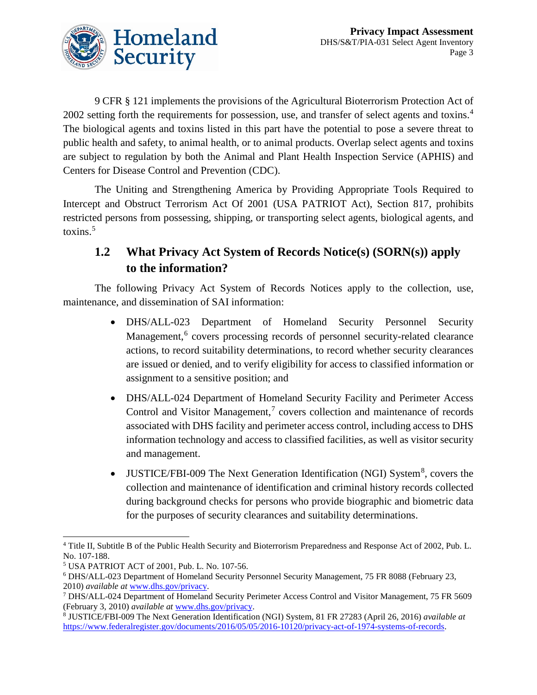

9 CFR § 121 implements the provisions of the Agricultural Bioterrorism Protection Act of 2002 setting forth the requirements for possession, use, and transfer of select agents and toxins.<sup>[4](#page-3-0)</sup> The biological agents and toxins listed in this part have the potential to pose a severe threat to public health and safety, to animal health, or to animal products. Overlap select agents and toxins are subject to regulation by both the Animal and Plant Health Inspection Service (APHIS) and Centers for Disease Control and Prevention (CDC).

The Uniting and Strengthening America by Providing Appropriate Tools Required to Intercept and Obstruct Terrorism Act Of 2001 (USA PATRIOT Act), Section 817, prohibits restricted persons from possessing, shipping, or transporting select agents, biological agents, and toxins.<sup>[5](#page-3-1)</sup>

### **1.2 What Privacy Act System of Records Notice(s) (SORN(s)) apply to the information?**

The following Privacy Act System of Records Notices apply to the collection, use, maintenance, and dissemination of SAI information:

- DHS/ALL-023 Department of Homeland Security Personnel Security Management,<sup>[6](#page-3-2)</sup> covers processing records of personnel security-related clearance actions, to record suitability determinations, to record whether security clearances are issued or denied, and to verify eligibility for access to classified information or assignment to a sensitive position; and
- DHS/ALL-024 Department of Homeland Security Facility and Perimeter Access Control and Visitor Management, [7](#page-3-3) covers collection and maintenance of records associated with DHS facility and perimeter access control, including access to DHS information technology and access to classified facilities, as well as visitor security and management.
- JUSTICE/FBI-009 The Next Generation Identification (NGI) System<sup>[8](#page-3-4)</sup>, covers the collection and maintenance of identification and criminal history records collected during background checks for persons who provide biographic and biometric data for the purposes of security clearances and suitability determinations.

<span id="page-3-0"></span> <sup>4</sup> Title II, Subtitle B of the Public Health Security and Bioterrorism Preparedness and Response Act of 2002, Pub. L. No. 107-188.

<span id="page-3-1"></span><sup>5</sup> USA PATRIOT ACT of 2001, Pub. L. No. 107-56.

<span id="page-3-2"></span><sup>6</sup> DHS/ALL-023 Department of Homeland Security Personnel Security Management, 75 FR 8088 (February 23, 2010) *available at* [www.dhs.gov/privacy.](http://www.dhs.gov/privacy)

<span id="page-3-3"></span><sup>7</sup> DHS/ALL-024 Department of Homeland Security Perimeter Access Control and Visitor Management, 75 FR 5609 (February 3, 2010) *available at* [www.dhs.gov/privacy.](http://www.dhs.gov/privacy)

<span id="page-3-4"></span><sup>8</sup> JUSTICE/FBI-009 The Next Generation Identification (NGI) System, 81 FR 27283 (April 26, 2016) *available at* [https://www.federalregister.gov/documents/2016/05/05/2016-10120/privacy-act-of-1974-systems-of-records.](https://www.federalregister.gov/documents/2016/05/05/2016-10120/privacy-act-of-1974-systems-of-records)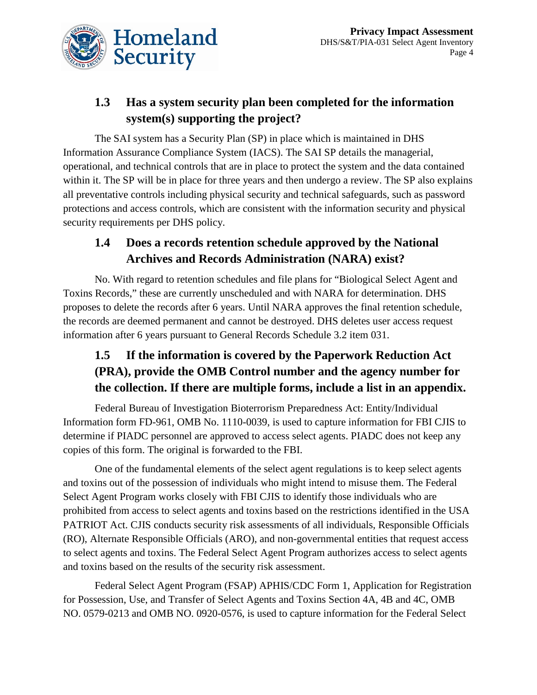

# **1.3 Has a system security plan been completed for the information system(s) supporting the project?**

The SAI system has a Security Plan (SP) in place which is maintained in DHS Information Assurance Compliance System (IACS). The SAI SP details the managerial, operational, and technical controls that are in place to protect the system and the data contained within it. The SP will be in place for three years and then undergo a review. The SP also explains all preventative controls including physical security and technical safeguards, such as password protections and access controls, which are consistent with the information security and physical security requirements per DHS policy.

### **1.4 Does a records retention schedule approved by the National Archives and Records Administration (NARA) exist?**

No. With regard to retention schedules and file plans for "Biological Select Agent and Toxins Records," these are currently unscheduled and with NARA for determination. DHS proposes to delete the records after 6 years. Until NARA approves the final retention schedule, the records are deemed permanent and cannot be destroyed. DHS deletes user access request information after 6 years pursuant to General Records Schedule 3.2 item 031.

# **1.5 If the information is covered by the Paperwork Reduction Act (PRA), provide the OMB Control number and the agency number for the collection. If there are multiple forms, include a list in an appendix.**

Federal Bureau of Investigation Bioterrorism Preparedness Act: Entity/Individual Information form FD-961, OMB No. 1110-0039, is used to capture information for FBI CJIS to determine if PIADC personnel are approved to access select agents. PIADC does not keep any copies of this form. The original is forwarded to the FBI.

One of the fundamental elements of the select agent regulations is to keep select agents and toxins out of the possession of individuals who might intend to misuse them. The Federal Select Agent Program works closely with FBI CJIS to identify those individuals who are prohibited from access to select agents and toxins based on the restrictions identified in the USA PATRIOT Act. CJIS conducts security risk assessments of all individuals, Responsible Officials (RO), Alternate Responsible Officials (ARO), and non-governmental entities that request access to select agents and toxins. The Federal Select Agent Program authorizes access to select agents and toxins based on the results of the security risk assessment.

Federal Select Agent Program (FSAP) APHIS/CDC Form 1, Application for Registration for Possession, Use, and Transfer of Select Agents and Toxins Section 4A, 4B and 4C, OMB NO. 0579-0213 and OMB NO. 0920-0576, is used to capture information for the Federal Select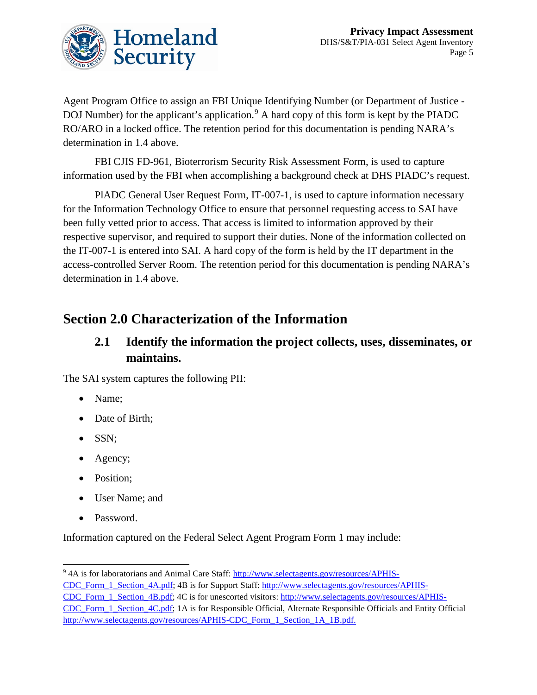

Agent Program Office to assign an FBI Unique Identifying Number (or Department of Justice - DOJ Number) for the applicant's application.<sup>[9](#page-5-0)</sup> A hard copy of this form is kept by the PIADC RO/ARO in a locked office. The retention period for this documentation is pending NARA's determination in 1.4 above.

FBI CJIS FD-961, Bioterrorism Security Risk Assessment Form, is used to capture information used by the FBI when accomplishing a background check at DHS PIADC's request.

PlADC General User Request Form, IT-007-1, is used to capture information necessary for the Information Technology Office to ensure that personnel requesting access to SAI have been fully vetted prior to access. That access is limited to information approved by their respective supervisor, and required to support their duties. None of the information collected on the IT-007-1 is entered into SAI. A hard copy of the form is held by the IT department in the access-controlled Server Room. The retention period for this documentation is pending NARA's determination in 1.4 above.

# **Section 2.0 Characterization of the Information**

### **2.1 Identify the information the project collects, uses, disseminates, or maintains.**

The SAI system captures the following PII:

- Name;
- Date of Birth;
- SSN;
- Agency;
- Position;
- User Name; and
- Password.

Information captured on the Federal Select Agent Program Form 1 may include:

<span id="page-5-0"></span> <sup>9</sup> 4A is for laboratorians and Animal Care Staff: [http://www.selectagents.gov/resources/APHIS-](http://www.selectagents.gov/resources/APHIS-CDC_Form_1_Section_4A.pdf)

[CDC\\_Form\\_1\\_Section\\_4A.pdf;](http://www.selectagents.gov/resources/APHIS-CDC_Form_1_Section_4A.pdf) 4B is for Support Staff: [http://www.selectagents.gov/resources/APHIS-](http://www.selectagents.gov/resources/APHIS-CDC_Form_1_Section_4B.pdf)

[CDC\\_Form\\_1\\_Section\\_4B.pdf;](http://www.selectagents.gov/resources/APHIS-CDC_Form_1_Section_4B.pdf) 4C is for unescorted visitors: [http://www.selectagents.gov/resources/APHIS-](http://www.selectagents.gov/resources/APHIS-CDC_Form_1_Section_4C.pdf)

[CDC\\_Form\\_1\\_Section\\_4C.pdf;](http://www.selectagents.gov/resources/APHIS-CDC_Form_1_Section_4C.pdf) 1A is for Responsible Official, Alternate Responsible Officials and Entity Official [http://www.selectagents.gov/resources/APHIS-CDC\\_Form\\_1\\_Section\\_1A\\_1B.pdf.](http://www.selectagents.gov/resources/APHIS-CDC_Form_1_Section_1A_1B.pdf)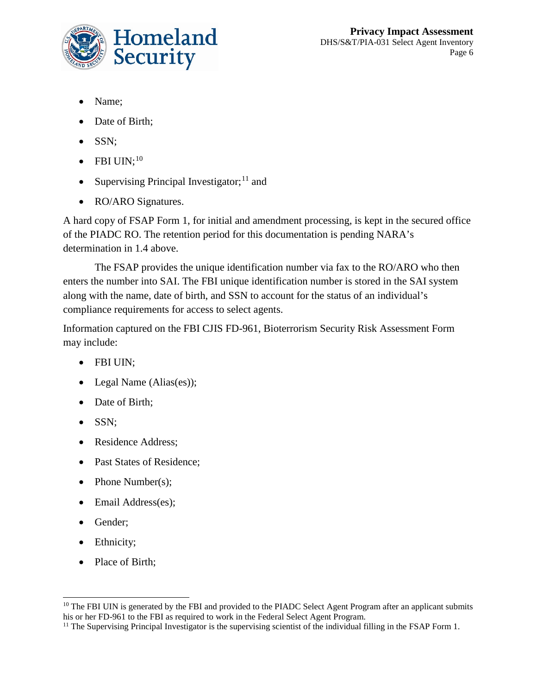

- Name;
- Date of Birth:
- SSN;
- $\bullet$  FBI UIN;<sup>[10](#page-6-0)</sup>
- Supervising Principal Investigator;<sup>[11](#page-6-1)</sup> and
- RO/ARO Signatures.

A hard copy of FSAP Form 1, for initial and amendment processing, is kept in the secured office of the PIADC RO. The retention period for this documentation is pending NARA's determination in 1.4 above.

The FSAP provides the unique identification number via fax to the RO/ARO who then enters the number into SAI. The FBI unique identification number is stored in the SAI system along with the name, date of birth, and SSN to account for the status of an individual's compliance requirements for access to select agents.

Information captured on the FBI CJIS FD-961, Bioterrorism Security Risk Assessment Form may include:

- FBI UIN;
- Legal Name (Alias(es));
- Date of Birth;
- SSN;
- Residence Address:
- Past States of Residence;
- Phone Number(s);
- Email Address(es);
- Gender;
- Ethnicity;
- Place of Birth;

<span id="page-6-0"></span><sup>&</sup>lt;sup>10</sup> The FBI UIN is generated by the FBI and provided to the PIADC Select Agent Program after an applicant submits his or her FD-961 to the FBI as required to work in the Federal Select Agent Program.

<span id="page-6-1"></span><sup>&</sup>lt;sup>11</sup> The Supervising Principal Investigator is the supervising scientist of the individual filling in the FSAP Form 1.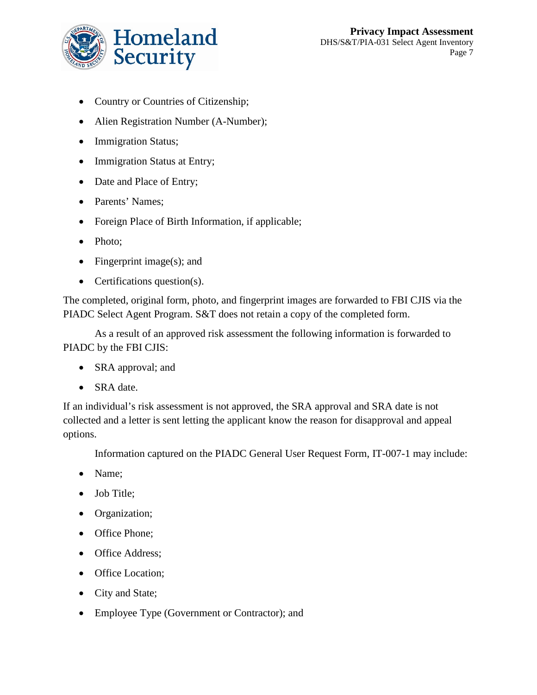

- Country or Countries of Citizenship;
- Alien Registration Number (A-Number);
- Immigration Status;
- Immigration Status at Entry;
- Date and Place of Entry;
- Parents' Names;
- Foreign Place of Birth Information, if applicable;
- Photo;
- Fingerprint image(s); and
- Certifications question(s).

The completed, original form, photo, and fingerprint images are forwarded to FBI CJIS via the PIADC Select Agent Program. S&T does not retain a copy of the completed form.

As a result of an approved risk assessment the following information is forwarded to PIADC by the FBI CJIS:

- SRA approval; and
- SRA date.

If an individual's risk assessment is not approved, the SRA approval and SRA date is not collected and a letter is sent letting the applicant know the reason for disapproval and appeal options.

Information captured on the PIADC General User Request Form, IT-007-1 may include:

- Name;
- Job Title:
- Organization;
- Office Phone;
- Office Address;
- Office Location;
- City and State;
- Employee Type (Government or Contractor); and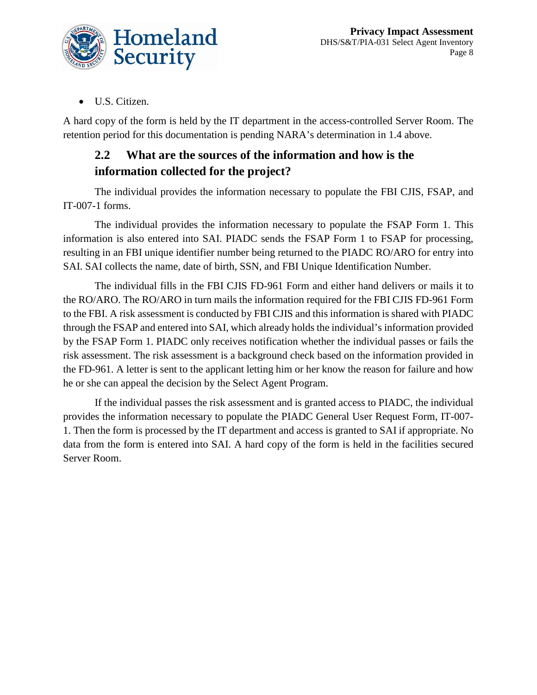

• U.S. Citizen.

A hard copy of the form is held by the IT department in the access-controlled Server Room. The retention period for this documentation is pending NARA's determination in 1.4 above.

## **2.2 What are the sources of the information and how is the information collected for the project?**

The individual provides the information necessary to populate the FBI CJIS, FSAP, and IT-007-1 forms.

The individual provides the information necessary to populate the FSAP Form 1. This information is also entered into SAI. PIADC sends the FSAP Form 1 to FSAP for processing, resulting in an FBI unique identifier number being returned to the PIADC RO/ARO for entry into SAI. SAI collects the name, date of birth, SSN, and FBI Unique Identification Number.

The individual fills in the FBI CJIS FD-961 Form and either hand delivers or mails it to the RO/ARO. The RO/ARO in turn mails the information required for the FBI CJIS FD-961 Form to the FBI. A risk assessment is conducted by FBI CJIS and this information is shared with PIADC through the FSAP and entered into SAI, which already holds the individual's information provided by the FSAP Form 1. PIADC only receives notification whether the individual passes or fails the risk assessment. The risk assessment is a background check based on the information provided in the FD-961. A letter is sent to the applicant letting him or her know the reason for failure and how he or she can appeal the decision by the Select Agent Program.

If the individual passes the risk assessment and is granted access to PIADC, the individual provides the information necessary to populate the PIADC General User Request Form, IT-007- 1. Then the form is processed by the IT department and access is granted to SAI if appropriate. No data from the form is entered into SAI. A hard copy of the form is held in the facilities secured Server Room.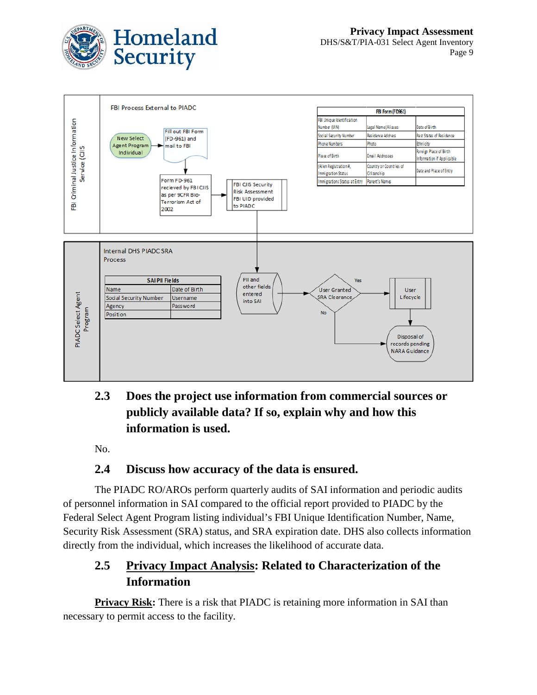



# **2.3 Does the project use information from commercial sources or publicly available data? If so, explain why and how this information is used.**

No.

### **2.4 Discuss how accuracy of the data is ensured.**

The PIADC RO/AROs perform quarterly audits of SAI information and periodic audits of personnel information in SAI compared to the official report provided to PIADC by the Federal Select Agent Program listing individual's FBI Unique Identification Number, Name, Security Risk Assessment (SRA) status, and SRA expiration date. DHS also collects information directly from the individual, which increases the likelihood of accurate data.

### **2.5 Privacy Impact Analysis: Related to Characterization of the Information**

**Privacy Risk:** There is a risk that PIADC is retaining more information in SAI than necessary to permit access to the facility.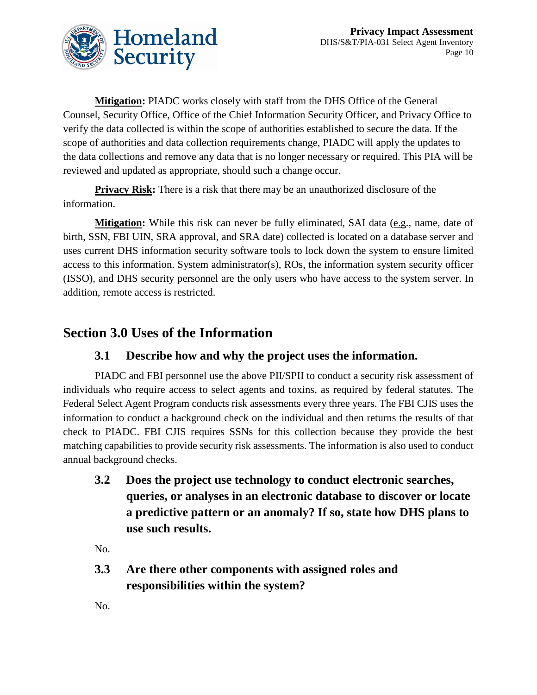

**Mitigation:** PIADC works closely with staff from the DHS Office of the General Counsel, Security Office, Office of the Chief Information Security Officer, and Privacy Office to verify the data collected is within the scope of authorities established to secure the data. If the scope of authorities and data collection requirements change, PIADC will apply the updates to the data collections and remove any data that is no longer necessary or required. This PIA will be reviewed and updated as appropriate, should such a change occur.

**Privacy Risk:** There is a risk that there may be an unauthorized disclosure of the information.

**Mitigation:** While this risk can never be fully eliminated, SAI data (e.g., name, date of birth, SSN, FBI UIN, SRA approval, and SRA date) collected is located on a database server and uses current DHS information security software tools to lock down the system to ensure limited access to this information. System administrator(s), ROs, the information system security officer (ISSO), and DHS security personnel are the only users who have access to the system server. In addition, remote access is restricted.

# **Section 3.0 Uses of the Information**

### **3.1 Describe how and why the project uses the information.**

PIADC and FBI personnel use the above PII/SPII to conduct a security risk assessment of individuals who require access to select agents and toxins, as required by federal statutes. The Federal Select Agent Program conducts risk assessments every three years. The FBI CJIS uses the information to conduct a background check on the individual and then returns the results of that check to PIADC. FBI CJIS requires SSNs for this collection because they provide the best matching capabilities to provide security risk assessments. The information is also used to conduct annual background checks.

**3.2 Does the project use technology to conduct electronic searches, queries, or analyses in an electronic database to discover or locate a predictive pattern or an anomaly? If so, state how DHS plans to use such results.**

No.

**3.3 Are there other components with assigned roles and responsibilities within the system?**

No.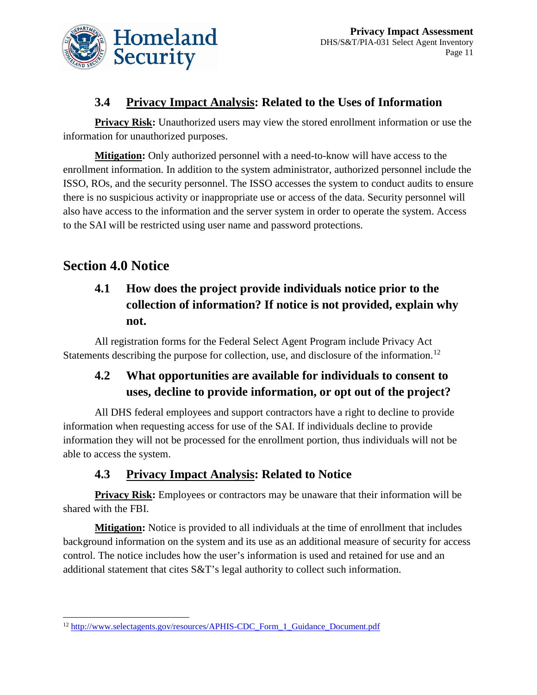

### **3.4 Privacy Impact Analysis: Related to the Uses of Information**

**Privacy Risk:** Unauthorized users may view the stored enrollment information or use the information for unauthorized purposes.

**Mitigation:** Only authorized personnel with a need-to-know will have access to the enrollment information. In addition to the system administrator, authorized personnel include the ISSO, ROs, and the security personnel. The ISSO accesses the system to conduct audits to ensure there is no suspicious activity or inappropriate use or access of the data. Security personnel will also have access to the information and the server system in order to operate the system. Access to the SAI will be restricted using user name and password protections.

# **Section 4.0 Notice**

# **4.1 How does the project provide individuals notice prior to the collection of information? If notice is not provided, explain why not.**

All registration forms for the Federal Select Agent Program include Privacy Act Statements describing the purpose for collection, use, and disclosure of the information.<sup>[12](#page-11-0)</sup>

## **4.2 What opportunities are available for individuals to consent to uses, decline to provide information, or opt out of the project?**

All DHS federal employees and support contractors have a right to decline to provide information when requesting access for use of the SAI. If individuals decline to provide information they will not be processed for the enrollment portion, thus individuals will not be able to access the system.

### **4.3 Privacy Impact Analysis: Related to Notice**

**Privacy Risk:** Employees or contractors may be unaware that their information will be shared with the FBI.

**Mitigation:** Notice is provided to all individuals at the time of enrollment that includes background information on the system and its use as an additional measure of security for access control. The notice includes how the user's information is used and retained for use and an additional statement that cites S&T's legal authority to collect such information.

<span id="page-11-0"></span> <sup>12</sup> [http://www.selectagents.gov/resources/APHIS-CDC\\_Form\\_1\\_Guidance\\_Document.pdf](http://www.selectagents.gov/resources/APHIS-CDC_Form_1_Guidance_Document.pdf)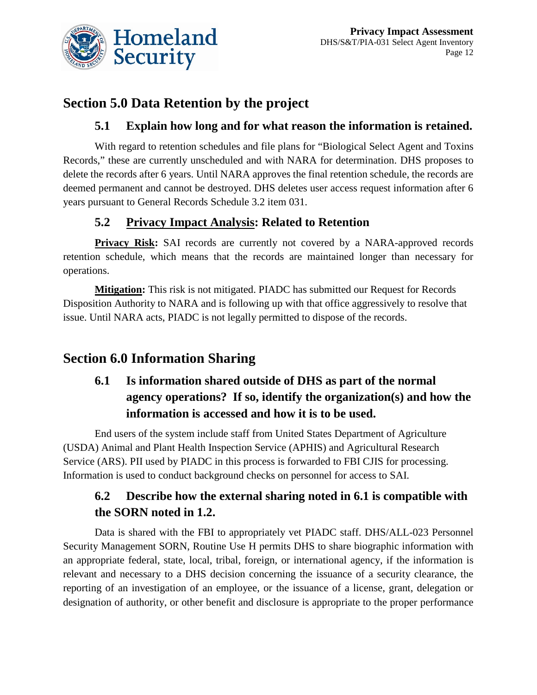

# **Section 5.0 Data Retention by the project**

### **5.1 Explain how long and for what reason the information is retained.**

With regard to retention schedules and file plans for "Biological Select Agent and Toxins Records," these are currently unscheduled and with NARA for determination. DHS proposes to delete the records after 6 years. Until NARA approves the final retention schedule, the records are deemed permanent and cannot be destroyed. DHS deletes user access request information after 6 years pursuant to General Records Schedule 3.2 item 031.

### **5.2 Privacy Impact Analysis: Related to Retention**

**Privacy Risk:** SAI records are currently not covered by a NARA-approved records retention schedule, which means that the records are maintained longer than necessary for operations.

**Mitigation:** This risk is not mitigated. PIADC has submitted our Request for Records Disposition Authority to NARA and is following up with that office aggressively to resolve that issue. Until NARA acts, PIADC is not legally permitted to dispose of the records.

# **Section 6.0 Information Sharing**

# **6.1 Is information shared outside of DHS as part of the normal agency operations? If so, identify the organization(s) and how the information is accessed and how it is to be used.**

End users of the system include staff from United States Department of Agriculture (USDA) Animal and Plant Health Inspection Service (APHIS) and Agricultural Research Service (ARS). PII used by PIADC in this process is forwarded to FBI CJIS for processing. Information is used to conduct background checks on personnel for access to SAI.

## **6.2 Describe how the external sharing noted in 6.1 is compatible with the SORN noted in 1.2.**

Data is shared with the FBI to appropriately vet PIADC staff. DHS/ALL-023 Personnel Security Management SORN, Routine Use H permits DHS to share biographic information with an appropriate federal, state, local, tribal, foreign, or international agency, if the information is relevant and necessary to a DHS decision concerning the issuance of a security clearance, the reporting of an investigation of an employee, or the issuance of a license, grant, delegation or designation of authority, or other benefit and disclosure is appropriate to the proper performance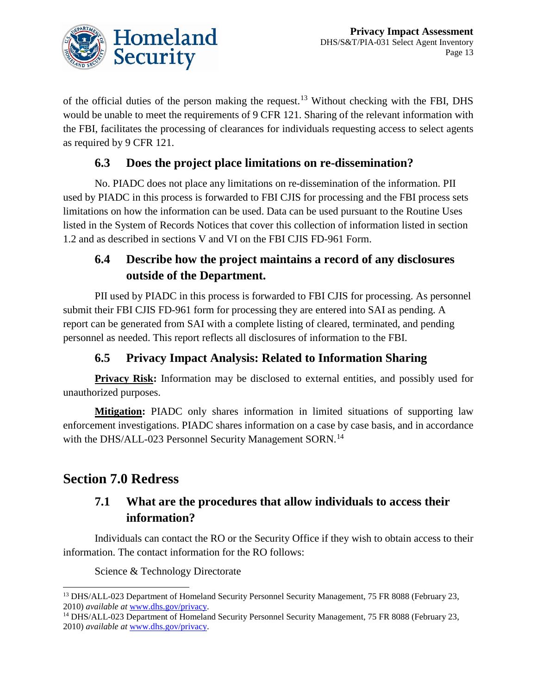

of the official duties of the person making the request.[13](#page-13-0) Without checking with the FBI, DHS would be unable to meet the requirements of 9 CFR 121. Sharing of the relevant information with the FBI, facilitates the processing of clearances for individuals requesting access to select agents as required by 9 CFR 121.

### **6.3 Does the project place limitations on re-dissemination?**

No. PIADC does not place any limitations on re-dissemination of the information. PII used by PIADC in this process is forwarded to FBI CJIS for processing and the FBI process sets limitations on how the information can be used. Data can be used pursuant to the Routine Uses listed in the System of Records Notices that cover this collection of information listed in section 1.2 and as described in sections V and VI on the FBI CJIS FD-961 Form.

### **6.4 Describe how the project maintains a record of any disclosures outside of the Department.**

PII used by PIADC in this process is forwarded to FBI CJIS for processing. As personnel submit their FBI CJIS FD-961 form for processing they are entered into SAI as pending. A report can be generated from SAI with a complete listing of cleared, terminated, and pending personnel as needed. This report reflects all disclosures of information to the FBI.

### **6.5 Privacy Impact Analysis: Related to Information Sharing**

**Privacy Risk:** Information may be disclosed to external entities, and possibly used for unauthorized purposes.

**Mitigation:** PIADC only shares information in limited situations of supporting law enforcement investigations. PIADC shares information on a case by case basis, and in accordance with the DHS/ALL-023 Personnel Security Management SORN.<sup>[14](#page-13-1)</sup>

### **Section 7.0 Redress**

### **7.1 What are the procedures that allow individuals to access their information?**

Individuals can contact the RO or the Security Office if they wish to obtain access to their information. The contact information for the RO follows:

Science & Technology Directorate

<span id="page-13-0"></span><sup>&</sup>lt;sup>13</sup> DHS/ALL-023 Department of Homeland Security Personnel Security Management, 75 FR 8088 (February 23, 2010) *available at* [www.dhs.gov/privacy.](http://www.dhs.gov/privacy)

<span id="page-13-1"></span><sup>&</sup>lt;sup>14</sup> DHS/ALL-023 Department of Homeland Security Personnel Security Management, 75 FR 8088 (February 23, 2010) *available at* [www.dhs.gov/privacy.](http://www.dhs.gov/privacy)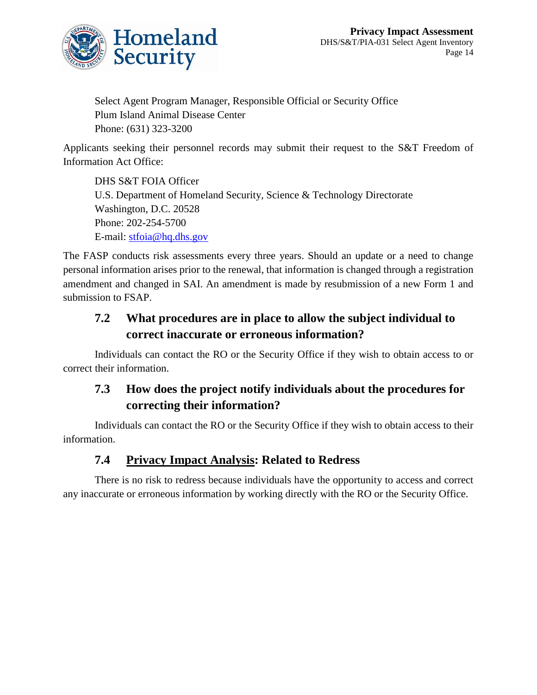

Select Agent Program Manager, Responsible Official or Security Office Plum Island Animal Disease Center Phone: (631) 323-3200

Applicants seeking their personnel records may submit their request to the S&T Freedom of Information Act Office:

DHS S&T FOIA Officer U.S. Department of Homeland Security, Science & Technology Directorate Washington, D.C. 20528 Phone: 202-254-5700 E-mail: [stfoia@hq.dhs.gov](mailto:stfoia@hq.dhs.gov)

The FASP conducts risk assessments every three years. Should an update or a need to change personal information arises prior to the renewal, that information is changed through a registration amendment and changed in SAI. An amendment is made by resubmission of a new Form 1 and submission to FSAP.

### **7.2 What procedures are in place to allow the subject individual to correct inaccurate or erroneous information?**

Individuals can contact the RO or the Security Office if they wish to obtain access to or correct their information.

### **7.3 How does the project notify individuals about the procedures for correcting their information?**

Individuals can contact the RO or the Security Office if they wish to obtain access to their information.

### **7.4 Privacy Impact Analysis: Related to Redress**

There is no risk to redress because individuals have the opportunity to access and correct any inaccurate or erroneous information by working directly with the RO or the Security Office.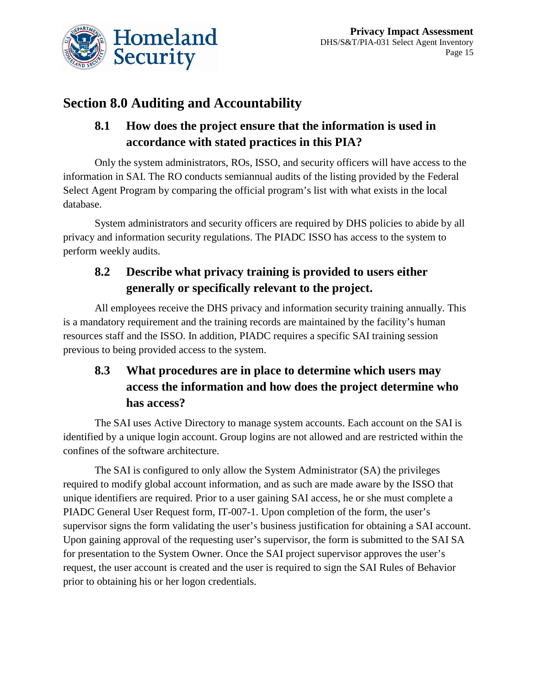

# **Section 8.0 Auditing and Accountability**

# **8.1 How does the project ensure that the information is used in accordance with stated practices in this PIA?**

Only the system administrators, ROs, ISSO, and security officers will have access to the information in SAI. The RO conducts semiannual audits of the listing provided by the Federal Select Agent Program by comparing the official program's list with what exists in the local database.

System administrators and security officers are required by DHS policies to abide by all privacy and information security regulations. The PIADC ISSO has access to the system to perform weekly audits.

# **8.2 Describe what privacy training is provided to users either generally or specifically relevant to the project.**

All employees receive the DHS privacy and information security training annually. This is a mandatory requirement and the training records are maintained by the facility's human resources staff and the ISSO. In addition, PIADC requires a specific SAI training session previous to being provided access to the system.

# **8.3 What procedures are in place to determine which users may access the information and how does the project determine who has access?**

The SAI uses Active Directory to manage system accounts. Each account on the SAI is identified by a unique login account. Group logins are not allowed and are restricted within the confines of the software architecture.

The SAI is configured to only allow the System Administrator (SA) the privileges required to modify global account information, and as such are made aware by the ISSO that unique identifiers are required. Prior to a user gaining SAI access, he or she must complete a PIADC General User Request form, IT-007-1. Upon completion of the form, the user's supervisor signs the form validating the user's business justification for obtaining a SAI account. Upon gaining approval of the requesting user's supervisor, the form is submitted to the SAI SA for presentation to the System Owner. Once the SAI project supervisor approves the user's request, the user account is created and the user is required to sign the SAI Rules of Behavior prior to obtaining his or her logon credentials.